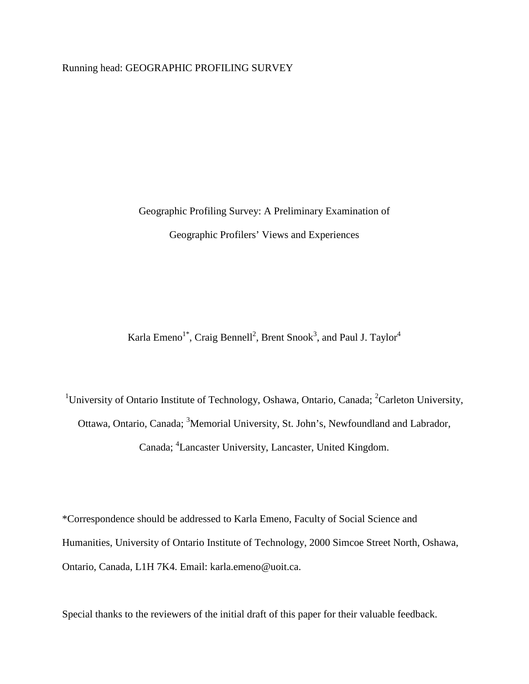Running head: GEOGRAPHIC PROFILING SURVEY

Geographic Profiling Survey: A Preliminary Examination of Geographic Profilers' Views and Experiences

Karla Emeno $^{1^*}$ , Craig Bennell $^2$ , Brent Snook $^3$ , and Paul J. Taylor $^4$ 

<sup>1</sup>University of Ontario Institute of Technology, Oshawa, Ontario, Canada; <sup>2</sup>Carleton University, Ottawa, Ontario, Canada; <sup>3</sup>Memorial University, St. John's, Newfoundland and Labrador, Canada; <sup>4</sup>Lancaster University, Lancaster, United Kingdom.

\*Correspondence should be addressed to Karla Emeno, Faculty of Social Science and Humanities, University of Ontario Institute of Technology, 2000 Simcoe Street North, Oshawa, Ontario, Canada, L1H 7K4. Email: karla.emeno@uoit.ca.

Special thanks to the reviewers of the initial draft of this paper for their valuable feedback.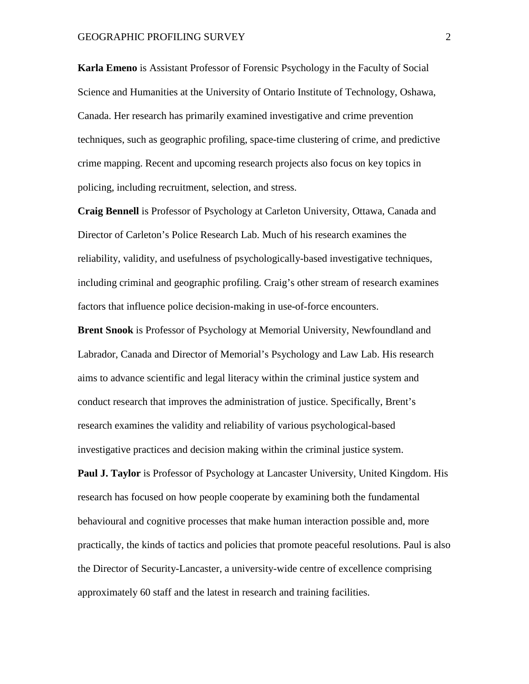**Karla Emeno** is Assistant Professor of Forensic Psychology in the Faculty of Social Science and Humanities at the University of Ontario Institute of Technology, Oshawa, Canada. Her research has primarily examined investigative and crime prevention techniques, such as geographic profiling, space-time clustering of crime, and predictive crime mapping. Recent and upcoming research projects also focus on key topics in policing, including recruitment, selection, and stress.

**Craig Bennell** is Professor of Psychology at Carleton University, Ottawa, Canada and Director of Carleton's Police Research Lab. Much of his research examines the reliability, validity, and usefulness of psychologically-based investigative techniques, including criminal and geographic profiling. Craig's other stream of research examines factors that influence police decision-making in use-of-force encounters.

**Brent Snook** is Professor of Psychology at Memorial University, Newfoundland and Labrador, Canada and Director of Memorial's Psychology and Law Lab. His research aims to advance scientific and legal literacy within the criminal justice system and conduct research that improves the administration of justice. Specifically, Brent's research examines the validity and reliability of various psychological-based investigative practices and decision making within the criminal justice system.

**Paul J. Taylor** is Professor of Psychology at Lancaster University, United Kingdom. His research has focused on how people cooperate by examining both the fundamental behavioural and cognitive processes that make human interaction possible and, more practically, the kinds of tactics and policies that promote peaceful resolutions. Paul is also the Director of Security-Lancaster, a university-wide centre of excellence comprising approximately 60 staff and the latest in research and training facilities.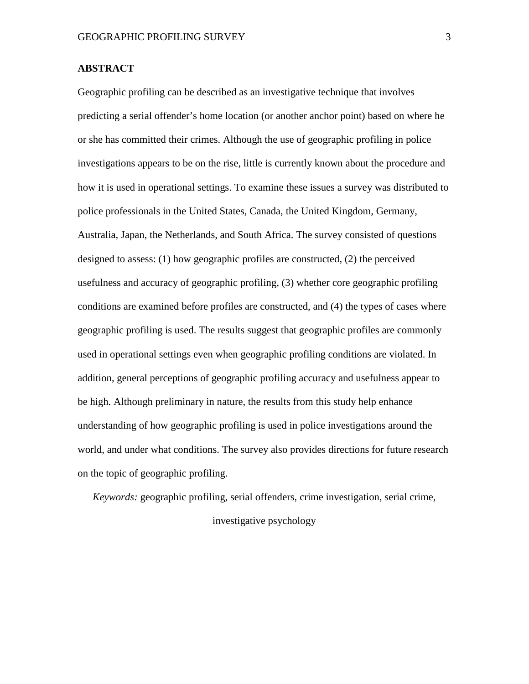### **ABSTRACT**

Geographic profiling can be described as an investigative technique that involves predicting a serial offender's home location (or another anchor point) based on where he or she has committed their crimes. Although the use of geographic profiling in police investigations appears to be on the rise, little is currently known about the procedure and how it is used in operational settings. To examine these issues a survey was distributed to police professionals in the United States, Canada, the United Kingdom, Germany, Australia, Japan, the Netherlands, and South Africa. The survey consisted of questions designed to assess: (1) how geographic profiles are constructed, (2) the perceived usefulness and accuracy of geographic profiling, (3) whether core geographic profiling conditions are examined before profiles are constructed, and (4) the types of cases where geographic profiling is used. The results suggest that geographic profiles are commonly used in operational settings even when geographic profiling conditions are violated. In addition, general perceptions of geographic profiling accuracy and usefulness appear to be high. Although preliminary in nature, the results from this study help enhance understanding of how geographic profiling is used in police investigations around the world, and under what conditions. The survey also provides directions for future research on the topic of geographic profiling.

*Keywords:* geographic profiling, serial offenders, crime investigation, serial crime,

investigative psychology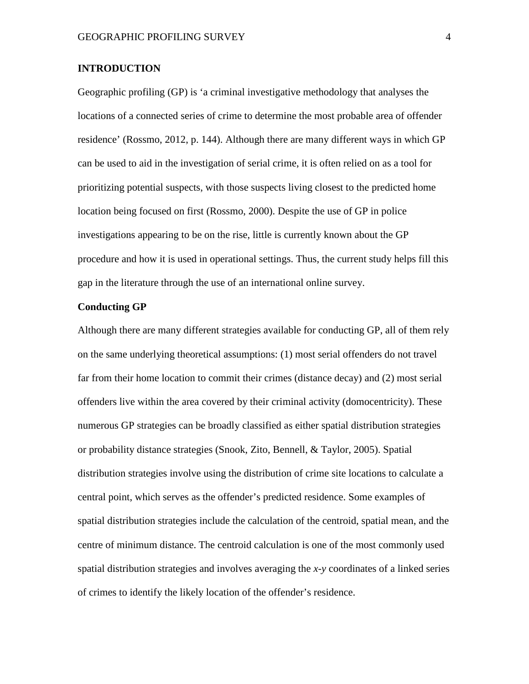## **INTRODUCTION**

Geographic profiling (GP) is 'a criminal investigative methodology that analyses the locations of a connected series of crime to determine the most probable area of offender residence' (Rossmo, 2012, p. 144). Although there are many different ways in which GP can be used to aid in the investigation of serial crime, it is often relied on as a tool for prioritizing potential suspects, with those suspects living closest to the predicted home location being focused on first (Rossmo, 2000). Despite the use of GP in police investigations appearing to be on the rise, little is currently known about the GP procedure and how it is used in operational settings. Thus, the current study helps fill this gap in the literature through the use of an international online survey.

#### **Conducting GP**

Although there are many different strategies available for conducting GP, all of them rely on the same underlying theoretical assumptions: (1) most serial offenders do not travel far from their home location to commit their crimes (distance decay) and (2) most serial offenders live within the area covered by their criminal activity (domocentricity). These numerous GP strategies can be broadly classified as either spatial distribution strategies or probability distance strategies (Snook, Zito, Bennell, & Taylor, 2005). Spatial distribution strategies involve using the distribution of crime site locations to calculate a central point, which serves as the offender's predicted residence. Some examples of spatial distribution strategies include the calculation of the centroid, spatial mean, and the centre of minimum distance. The centroid calculation is one of the most commonly used spatial distribution strategies and involves averaging the *x*-*y* coordinates of a linked series of crimes to identify the likely location of the offender's residence.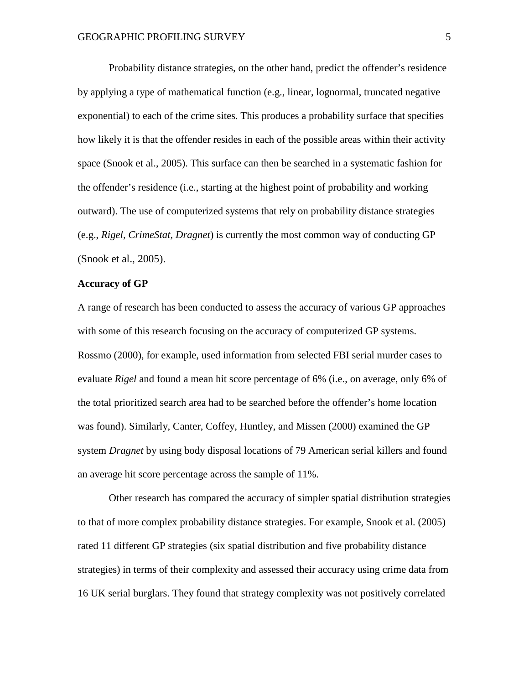Probability distance strategies, on the other hand, predict the offender's residence by applying a type of mathematical function (e.g., linear, lognormal, truncated negative exponential) to each of the crime sites. This produces a probability surface that specifies how likely it is that the offender resides in each of the possible areas within their activity space (Snook et al., 2005). This surface can then be searched in a systematic fashion for the offender's residence (i.e., starting at the highest point of probability and working outward). The use of computerized systems that rely on probability distance strategies (e.g., *Rigel, CrimeStat, Dragnet*) is currently the most common way of conducting GP (Snook et al., 2005).

#### **Accuracy of GP**

A range of research has been conducted to assess the accuracy of various GP approaches with some of this research focusing on the accuracy of computerized GP systems. Rossmo (2000), for example, used information from selected FBI serial murder cases to evaluate *Rigel* and found a mean hit score percentage of 6% (i.e., on average, only 6% of the total prioritized search area had to be searched before the offender's home location was found). Similarly, Canter, Coffey, Huntley, and Missen (2000) examined the GP system *Dragnet* by using body disposal locations of 79 American serial killers and found an average hit score percentage across the sample of 11%.

Other research has compared the accuracy of simpler spatial distribution strategies to that of more complex probability distance strategies. For example, Snook et al. (2005) rated 11 different GP strategies (six spatial distribution and five probability distance strategies) in terms of their complexity and assessed their accuracy using crime data from 16 UK serial burglars. They found that strategy complexity was not positively correlated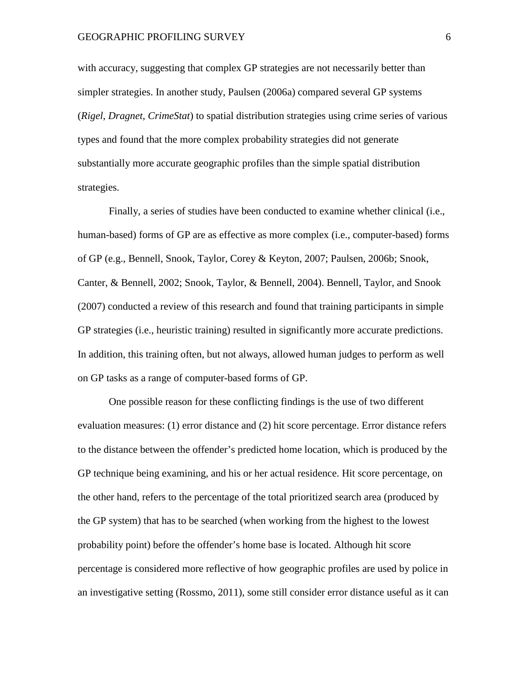with accuracy, suggesting that complex GP strategies are not necessarily better than simpler strategies. In another study, Paulsen (2006a) compared several GP systems (*Rigel*, *Dragnet*, *CrimeStat*) to spatial distribution strategies using crime series of various types and found that the more complex probability strategies did not generate substantially more accurate geographic profiles than the simple spatial distribution strategies.

Finally, a series of studies have been conducted to examine whether clinical (i.e., human-based) forms of GP are as effective as more complex (i.e., computer-based) forms of GP (e.g., Bennell, Snook, Taylor, Corey & Keyton, 2007; Paulsen, 2006b; Snook, Canter, & Bennell, 2002; Snook, Taylor, & Bennell, 2004). Bennell, Taylor, and Snook (2007) conducted a review of this research and found that training participants in simple GP strategies (i.e., heuristic training) resulted in significantly more accurate predictions. In addition, this training often, but not always, allowed human judges to perform as well on GP tasks as a range of computer-based forms of GP.

One possible reason for these conflicting findings is the use of two different evaluation measures: (1) error distance and (2) hit score percentage. Error distance refers to the distance between the offender's predicted home location, which is produced by the GP technique being examining, and his or her actual residence. Hit score percentage, on the other hand, refers to the percentage of the total prioritized search area (produced by the GP system) that has to be searched (when working from the highest to the lowest probability point) before the offender's home base is located. Although hit score percentage is considered more reflective of how geographic profiles are used by police in an investigative setting (Rossmo, 2011), some still consider error distance useful as it can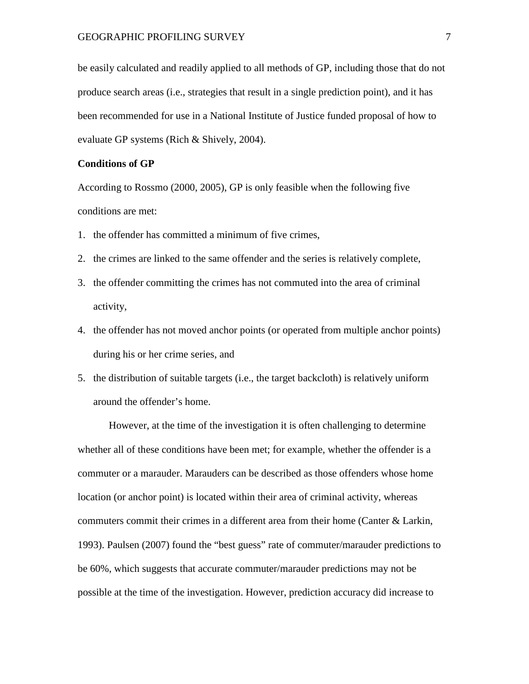be easily calculated and readily applied to all methods of GP, including those that do not produce search areas (i.e., strategies that result in a single prediction point), and it has been recommended for use in a National Institute of Justice funded proposal of how to evaluate GP systems (Rich & Shively, 2004).

#### **Conditions of GP**

According to Rossmo (2000, 2005), GP is only feasible when the following five conditions are met:

- 1. the offender has committed a minimum of five crimes,
- 2. the crimes are linked to the same offender and the series is relatively complete,
- 3. the offender committing the crimes has not commuted into the area of criminal activity,
- 4. the offender has not moved anchor points (or operated from multiple anchor points) during his or her crime series, and
- 5. the distribution of suitable targets (i.e., the target backcloth) is relatively uniform around the offender's home.

However, at the time of the investigation it is often challenging to determine whether all of these conditions have been met; for example, whether the offender is a commuter or a marauder. Marauders can be described as those offenders whose home location (or anchor point) is located within their area of criminal activity, whereas commuters commit their crimes in a different area from their home (Canter & Larkin, 1993). Paulsen (2007) found the "best guess" rate of commuter/marauder predictions to be 60%, which suggests that accurate commuter/marauder predictions may not be possible at the time of the investigation. However, prediction accuracy did increase to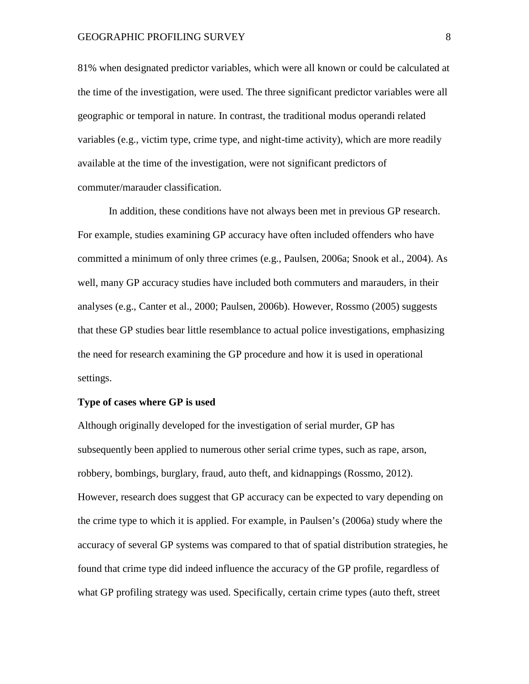81% when designated predictor variables, which were all known or could be calculated at the time of the investigation, were used. The three significant predictor variables were all geographic or temporal in nature. In contrast, the traditional modus operandi related variables (e.g., victim type, crime type, and night-time activity), which are more readily available at the time of the investigation, were not significant predictors of commuter/marauder classification.

In addition, these conditions have not always been met in previous GP research. For example, studies examining GP accuracy have often included offenders who have committed a minimum of only three crimes (e.g., Paulsen, 2006a; Snook et al., 2004). As well, many GP accuracy studies have included both commuters and marauders, in their analyses (e.g., Canter et al., 2000; Paulsen, 2006b). However, Rossmo (2005) suggests that these GP studies bear little resemblance to actual police investigations, emphasizing the need for research examining the GP procedure and how it is used in operational settings.

#### **Type of cases where GP is used**

Although originally developed for the investigation of serial murder, GP has subsequently been applied to numerous other serial crime types, such as rape, arson, robbery, bombings, burglary, fraud, auto theft, and kidnappings (Rossmo, 2012). However, research does suggest that GP accuracy can be expected to vary depending on the crime type to which it is applied. For example, in Paulsen's (2006a) study where the accuracy of several GP systems was compared to that of spatial distribution strategies, he found that crime type did indeed influence the accuracy of the GP profile, regardless of what GP profiling strategy was used. Specifically, certain crime types (auto theft, street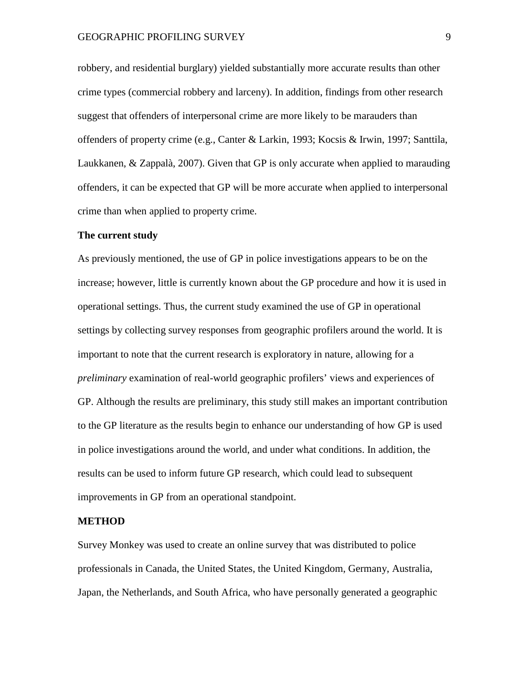robbery, and residential burglary) yielded substantially more accurate results than other crime types (commercial robbery and larceny). In addition, findings from other research suggest that offenders of interpersonal crime are more likely to be marauders than offenders of property crime (e.g., Canter & Larkin, 1993; Kocsis & Irwin, 1997; Santtila, Laukkanen, & Zappalà, 2007). Given that GP is only accurate when applied to marauding offenders, it can be expected that GP will be more accurate when applied to interpersonal crime than when applied to property crime.

#### **The current study**

As previously mentioned, the use of GP in police investigations appears to be on the increase; however, little is currently known about the GP procedure and how it is used in operational settings. Thus, the current study examined the use of GP in operational settings by collecting survey responses from geographic profilers around the world. It is important to note that the current research is exploratory in nature, allowing for a *preliminary* examination of real-world geographic profilers' views and experiences of GP. Although the results are preliminary, this study still makes an important contribution to the GP literature as the results begin to enhance our understanding of how GP is used in police investigations around the world, and under what conditions. In addition, the results can be used to inform future GP research, which could lead to subsequent improvements in GP from an operational standpoint.

#### **METHOD**

Survey Monkey was used to create an online survey that was distributed to police professionals in Canada, the United States, the United Kingdom, Germany, Australia, Japan, the Netherlands, and South Africa, who have personally generated a geographic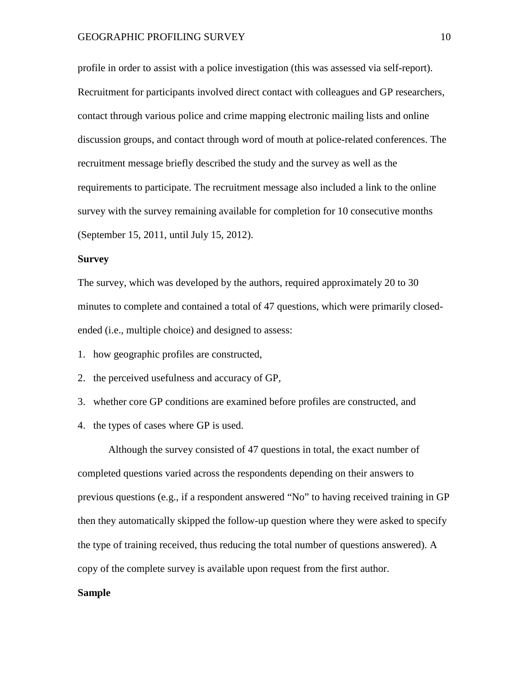profile in order to assist with a police investigation (this was assessed via self-report). Recruitment for participants involved direct contact with colleagues and GP researchers, contact through various police and crime mapping electronic mailing lists and online discussion groups, and contact through word of mouth at police-related conferences. The recruitment message briefly described the study and the survey as well as the requirements to participate. The recruitment message also included a link to the online survey with the survey remaining available for completion for 10 consecutive months (September 15, 2011, until July 15, 2012).

#### **Survey**

The survey, which was developed by the authors, required approximately 20 to 30 minutes to complete and contained a total of 47 questions, which were primarily closedended (i.e., multiple choice) and designed to assess:

1. how geographic profiles are constructed,

2. the perceived usefulness and accuracy of GP,

3. whether core GP conditions are examined before profiles are constructed, and

4. the types of cases where GP is used.

Although the survey consisted of 47 questions in total, the exact number of completed questions varied across the respondents depending on their answers to previous questions (e.g., if a respondent answered "No" to having received training in GP then they automatically skipped the follow-up question where they were asked to specify the type of training received, thus reducing the total number of questions answered). A copy of the complete survey is available upon request from the first author.

#### **Sample**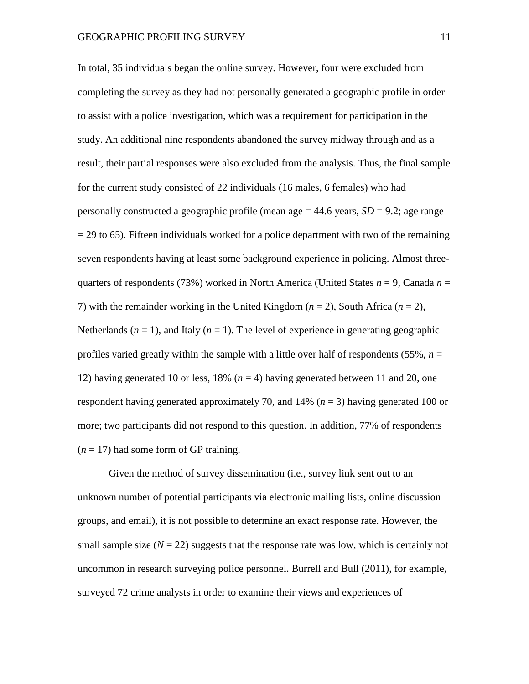In total, 35 individuals began the online survey. However, four were excluded from completing the survey as they had not personally generated a geographic profile in order to assist with a police investigation, which was a requirement for participation in the study. An additional nine respondents abandoned the survey midway through and as a result, their partial responses were also excluded from the analysis. Thus, the final sample for the current study consisted of 22 individuals (16 males, 6 females) who had personally constructed a geographic profile (mean age  $= 44.6$  years,  $SD = 9.2$ ; age range  $= 29$  to 65). Fifteen individuals worked for a police department with two of the remaining seven respondents having at least some background experience in policing. Almost threequarters of respondents (73%) worked in North America (United States  $n = 9$ , Canada  $n =$ 7) with the remainder working in the United Kingdom  $(n = 2)$ , South Africa  $(n = 2)$ , Netherlands  $(n = 1)$ , and Italy  $(n = 1)$ . The level of experience in generating geographic profiles varied greatly within the sample with a little over half of respondents  $(55\%, n=$ 12) having generated 10 or less,  $18\%$  ( $n = 4$ ) having generated between 11 and 20, one respondent having generated approximately 70, and 14% (*n* = 3) having generated 100 or more; two participants did not respond to this question. In addition, 77% of respondents  $(n = 17)$  had some form of GP training.

Given the method of survey dissemination (i.e., survey link sent out to an unknown number of potential participants via electronic mailing lists, online discussion groups, and email), it is not possible to determine an exact response rate. However, the small sample size  $(N = 22)$  suggests that the response rate was low, which is certainly not uncommon in research surveying police personnel. Burrell and Bull (2011), for example, surveyed 72 crime analysts in order to examine their views and experiences of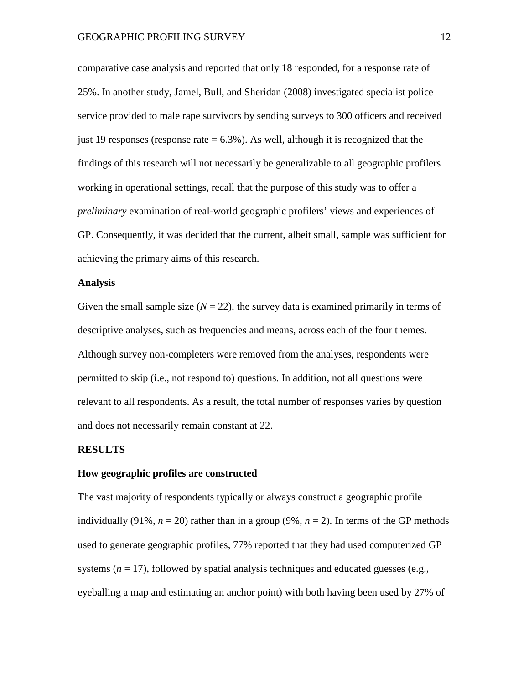comparative case analysis and reported that only 18 responded, for a response rate of 25%. In another study, Jamel, Bull, and Sheridan (2008) investigated specialist police service provided to male rape survivors by sending surveys to 300 officers and received just 19 responses (response rate  $= 6.3\%$ ). As well, although it is recognized that the findings of this research will not necessarily be generalizable to all geographic profilers working in operational settings, recall that the purpose of this study was to offer a *preliminary* examination of real-world geographic profilers' views and experiences of GP. Consequently, it was decided that the current, albeit small, sample was sufficient for achieving the primary aims of this research.

#### **Analysis**

Given the small sample size  $(N = 22)$ , the survey data is examined primarily in terms of descriptive analyses, such as frequencies and means, across each of the four themes. Although survey non-completers were removed from the analyses, respondents were permitted to skip (i.e., not respond to) questions. In addition, not all questions were relevant to all respondents. As a result, the total number of responses varies by question and does not necessarily remain constant at 22.

#### **RESULTS**

#### **How geographic profiles are constructed**

The vast majority of respondents typically or always construct a geographic profile individually (91%,  $n = 20$ ) rather than in a group (9%,  $n = 2$ ). In terms of the GP methods used to generate geographic profiles, 77% reported that they had used computerized GP systems  $(n = 17)$ , followed by spatial analysis techniques and educated guesses (e.g., eyeballing a map and estimating an anchor point) with both having been used by 27% of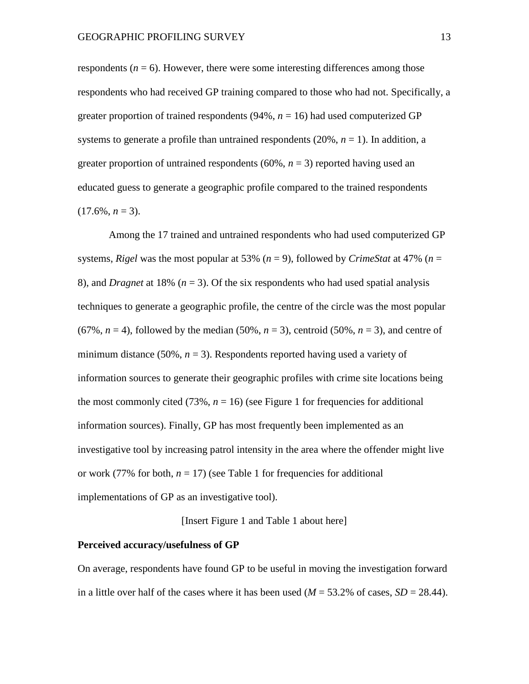respondents  $(n = 6)$ . However, there were some interesting differences among those respondents who had received GP training compared to those who had not. Specifically, a greater proportion of trained respondents  $(94\%, n = 16)$  had used computerized GP systems to generate a profile than untrained respondents  $(20\%, n = 1)$ . In addition, a greater proportion of untrained respondents  $(60\%, n = 3)$  reported having used an educated guess to generate a geographic profile compared to the trained respondents  $(17.6\%, n=3)$ .

Among the 17 trained and untrained respondents who had used computerized GP systems, *Rigel* was the most popular at 53% ( $n = 9$ ), followed by *CrimeStat* at 47% ( $n =$ 8), and *Dragnet* at 18% ( $n = 3$ ). Of the six respondents who had used spatial analysis techniques to generate a geographic profile, the centre of the circle was the most popular  $(67\%, n=4)$ , followed by the median  $(50\%, n=3)$ , centroid  $(50\%, n=3)$ , and centre of minimum distance (50%,  $n = 3$ ). Respondents reported having used a variety of information sources to generate their geographic profiles with crime site locations being the most commonly cited  $(73\%, n = 16)$  (see Figure 1 for frequencies for additional information sources). Finally, GP has most frequently been implemented as an investigative tool by increasing patrol intensity in the area where the offender might live or work (77% for both,  $n = 17$ ) (see Table 1 for frequencies for additional implementations of GP as an investigative tool).

[Insert Figure 1 and Table 1 about here]

#### **Perceived accuracy/usefulness of GP**

On average, respondents have found GP to be useful in moving the investigation forward in a little over half of the cases where it has been used  $(M = 53.2\%$  of cases,  $SD = 28.44$ ).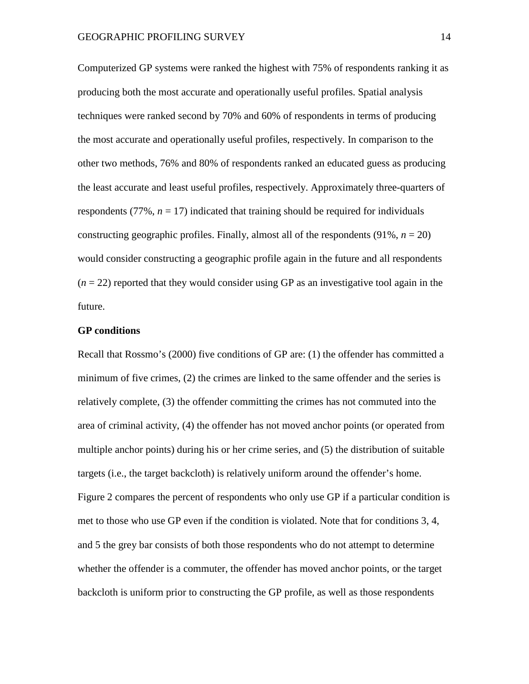Computerized GP systems were ranked the highest with 75% of respondents ranking it as producing both the most accurate and operationally useful profiles. Spatial analysis techniques were ranked second by 70% and 60% of respondents in terms of producing the most accurate and operationally useful profiles, respectively. In comparison to the other two methods, 76% and 80% of respondents ranked an educated guess as producing the least accurate and least useful profiles, respectively. Approximately three-quarters of respondents  $(77\%, n = 17)$  indicated that training should be required for individuals constructing geographic profiles. Finally, almost all of the respondents  $(91\%, n = 20)$ would consider constructing a geographic profile again in the future and all respondents  $(n = 22)$  reported that they would consider using GP as an investigative tool again in the future.

#### **GP conditions**

Recall that Rossmo's (2000) five conditions of GP are: (1) the offender has committed a minimum of five crimes, (2) the crimes are linked to the same offender and the series is relatively complete, (3) the offender committing the crimes has not commuted into the area of criminal activity, (4) the offender has not moved anchor points (or operated from multiple anchor points) during his or her crime series, and (5) the distribution of suitable targets (i.e., the target backcloth) is relatively uniform around the offender's home. Figure 2 compares the percent of respondents who only use GP if a particular condition is met to those who use GP even if the condition is violated. Note that for conditions 3, 4, and 5 the grey bar consists of both those respondents who do not attempt to determine whether the offender is a commuter, the offender has moved anchor points, or the target backcloth is uniform prior to constructing the GP profile, as well as those respondents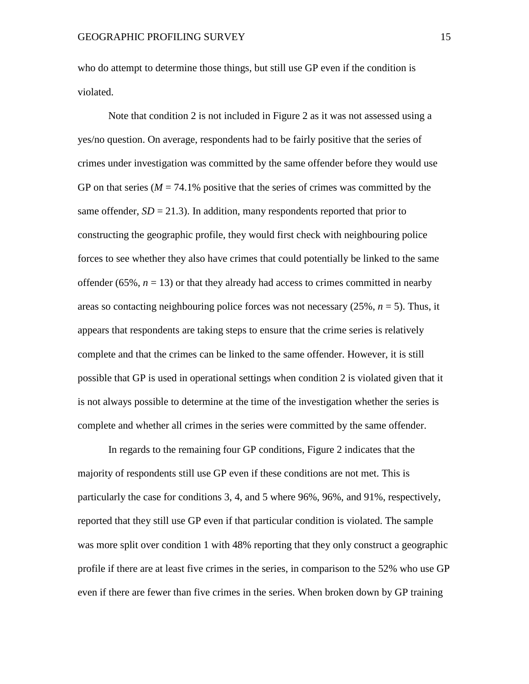who do attempt to determine those things, but still use GP even if the condition is violated.

Note that condition 2 is not included in Figure 2 as it was not assessed using a yes/no question. On average, respondents had to be fairly positive that the series of crimes under investigation was committed by the same offender before they would use GP on that series ( $M = 74.1\%$  positive that the series of crimes was committed by the same offender,  $SD = 21.3$ ). In addition, many respondents reported that prior to constructing the geographic profile, they would first check with neighbouring police forces to see whether they also have crimes that could potentially be linked to the same offender ( $65\%, n = 13$ ) or that they already had access to crimes committed in nearby areas so contacting neighbouring police forces was not necessary (25%, *n* = 5). Thus, it appears that respondents are taking steps to ensure that the crime series is relatively complete and that the crimes can be linked to the same offender. However, it is still possible that GP is used in operational settings when condition 2 is violated given that it is not always possible to determine at the time of the investigation whether the series is complete and whether all crimes in the series were committed by the same offender.

In regards to the remaining four GP conditions, Figure 2 indicates that the majority of respondents still use GP even if these conditions are not met. This is particularly the case for conditions 3, 4, and 5 where 96%, 96%, and 91%, respectively, reported that they still use GP even if that particular condition is violated. The sample was more split over condition 1 with 48% reporting that they only construct a geographic profile if there are at least five crimes in the series, in comparison to the 52% who use GP even if there are fewer than five crimes in the series. When broken down by GP training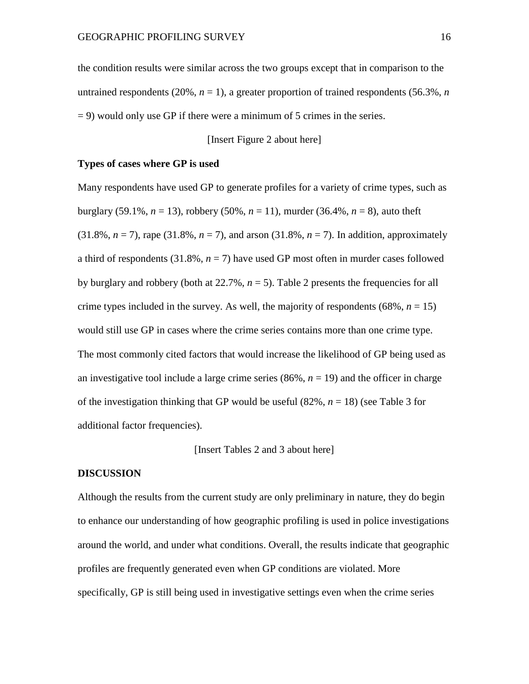the condition results were similar across the two groups except that in comparison to the untrained respondents  $(20\%, n=1)$ , a greater proportion of trained respondents  $(56.3\%, n$  $= 9$ ) would only use GP if there were a minimum of 5 crimes in the series.

[Insert Figure 2 about here]

#### **Types of cases where GP is used**

Many respondents have used GP to generate profiles for a variety of crime types, such as burglary (59.1%,  $n = 13$ ), robbery (50%,  $n = 11$ ), murder (36.4%,  $n = 8$ ), auto theft  $(31.8\%, n = 7)$ , rape  $(31.8\%, n = 7)$ , and arson  $(31.8\%, n = 7)$ . In addition, approximately a third of respondents  $(31.8\%, n=7)$  have used GP most often in murder cases followed by burglary and robbery (both at  $22.7\%$ ,  $n = 5$ ). Table 2 presents the frequencies for all crime types included in the survey. As well, the majority of respondents ( $68\%$ ,  $n = 15$ ) would still use GP in cases where the crime series contains more than one crime type. The most commonly cited factors that would increase the likelihood of GP being used as an investigative tool include a large crime series  $(86\%, n = 19)$  and the officer in charge of the investigation thinking that GP would be useful  $(82\%, n = 18)$  (see Table 3 for additional factor frequencies).

[Insert Tables 2 and 3 about here]

#### **DISCUSSION**

Although the results from the current study are only preliminary in nature, they do begin to enhance our understanding of how geographic profiling is used in police investigations around the world, and under what conditions. Overall, the results indicate that geographic profiles are frequently generated even when GP conditions are violated. More specifically, GP is still being used in investigative settings even when the crime series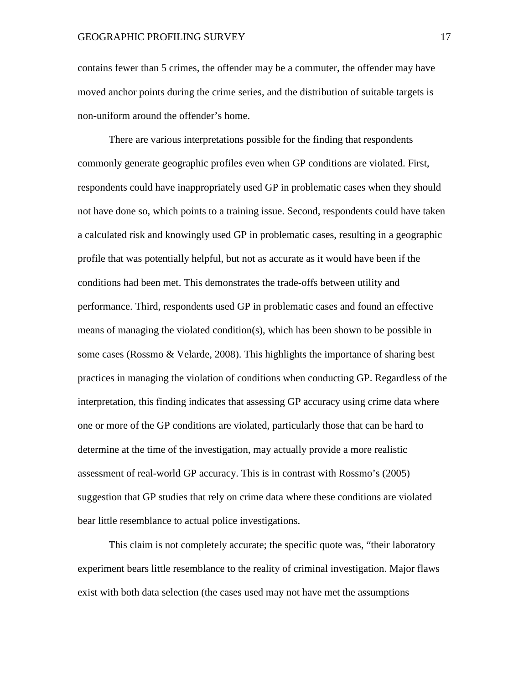contains fewer than 5 crimes, the offender may be a commuter, the offender may have moved anchor points during the crime series, and the distribution of suitable targets is non-uniform around the offender's home.

There are various interpretations possible for the finding that respondents commonly generate geographic profiles even when GP conditions are violated. First, respondents could have inappropriately used GP in problematic cases when they should not have done so, which points to a training issue. Second, respondents could have taken a calculated risk and knowingly used GP in problematic cases, resulting in a geographic profile that was potentially helpful, but not as accurate as it would have been if the conditions had been met. This demonstrates the trade-offs between utility and performance. Third, respondents used GP in problematic cases and found an effective means of managing the violated condition(s), which has been shown to be possible in some cases (Rossmo & Velarde, 2008). This highlights the importance of sharing best practices in managing the violation of conditions when conducting GP. Regardless of the interpretation, this finding indicates that assessing GP accuracy using crime data where one or more of the GP conditions are violated, particularly those that can be hard to determine at the time of the investigation, may actually provide a more realistic assessment of real-world GP accuracy. This is in contrast with Rossmo's (2005) suggestion that GP studies that rely on crime data where these conditions are violated bear little resemblance to actual police investigations.

This claim is not completely accurate; the specific quote was, "their laboratory experiment bears little resemblance to the reality of criminal investigation. Major flaws exist with both data selection (the cases used may not have met the assumptions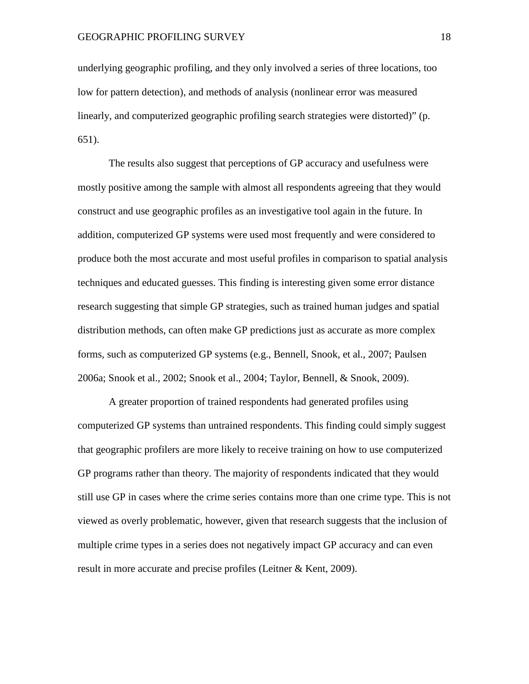underlying geographic profiling, and they only involved a series of three locations, too low for pattern detection), and methods of analysis (nonlinear error was measured linearly, and computerized geographic profiling search strategies were distorted)" (p. 651).

The results also suggest that perceptions of GP accuracy and usefulness were mostly positive among the sample with almost all respondents agreeing that they would construct and use geographic profiles as an investigative tool again in the future. In addition, computerized GP systems were used most frequently and were considered to produce both the most accurate and most useful profiles in comparison to spatial analysis techniques and educated guesses. This finding is interesting given some error distance research suggesting that simple GP strategies, such as trained human judges and spatial distribution methods, can often make GP predictions just as accurate as more complex forms, such as computerized GP systems (e.g., Bennell, Snook, et al., 2007; Paulsen 2006a; Snook et al., 2002; Snook et al., 2004; Taylor, Bennell, & Snook, 2009).

A greater proportion of trained respondents had generated profiles using computerized GP systems than untrained respondents. This finding could simply suggest that geographic profilers are more likely to receive training on how to use computerized GP programs rather than theory. The majority of respondents indicated that they would still use GP in cases where the crime series contains more than one crime type. This is not viewed as overly problematic, however, given that research suggests that the inclusion of multiple crime types in a series does not negatively impact GP accuracy and can even result in more accurate and precise profiles (Leitner & Kent, 2009).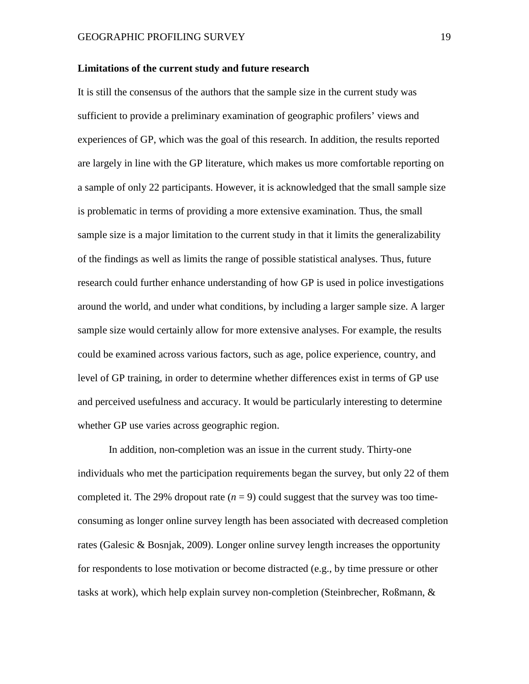#### **Limitations of the current study and future research**

It is still the consensus of the authors that the sample size in the current study was sufficient to provide a preliminary examination of geographic profilers' views and experiences of GP, which was the goal of this research. In addition, the results reported are largely in line with the GP literature, which makes us more comfortable reporting on a sample of only 22 participants. However, it is acknowledged that the small sample size is problematic in terms of providing a more extensive examination. Thus, the small sample size is a major limitation to the current study in that it limits the generalizability of the findings as well as limits the range of possible statistical analyses. Thus, future research could further enhance understanding of how GP is used in police investigations around the world, and under what conditions, by including a larger sample size. A larger sample size would certainly allow for more extensive analyses. For example, the results could be examined across various factors, such as age, police experience, country, and level of GP training, in order to determine whether differences exist in terms of GP use and perceived usefulness and accuracy. It would be particularly interesting to determine whether GP use varies across geographic region.

In addition, non-completion was an issue in the current study. Thirty-one individuals who met the participation requirements began the survey, but only 22 of them completed it. The 29% dropout rate  $(n = 9)$  could suggest that the survey was too timeconsuming as longer online survey length has been associated with decreased completion rates (Galesic & Bosnjak, 2009). Longer online survey length increases the opportunity for respondents to lose motivation or become distracted (e.g., by time pressure or other tasks at work), which help explain survey non-completion (Steinbrecher, Roßmann, &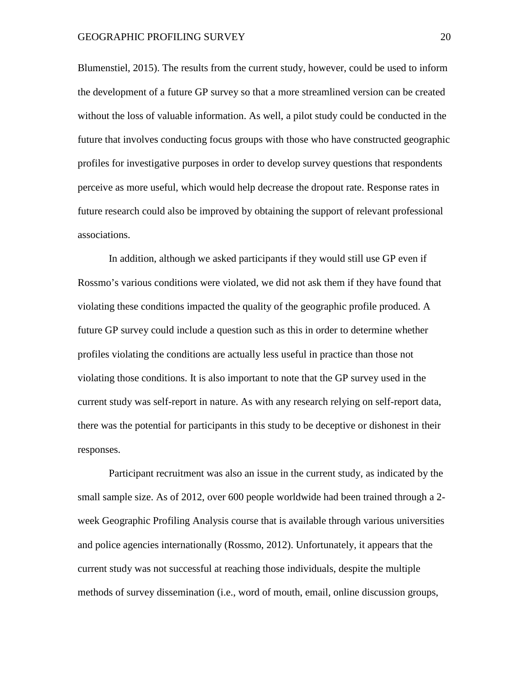Blumenstiel, 2015). The results from the current study, however, could be used to inform the development of a future GP survey so that a more streamlined version can be created without the loss of valuable information. As well, a pilot study could be conducted in the future that involves conducting focus groups with those who have constructed geographic profiles for investigative purposes in order to develop survey questions that respondents perceive as more useful, which would help decrease the dropout rate. Response rates in future research could also be improved by obtaining the support of relevant professional associations.

In addition, although we asked participants if they would still use GP even if Rossmo's various conditions were violated, we did not ask them if they have found that violating these conditions impacted the quality of the geographic profile produced. A future GP survey could include a question such as this in order to determine whether profiles violating the conditions are actually less useful in practice than those not violating those conditions. It is also important to note that the GP survey used in the current study was self-report in nature. As with any research relying on self-report data, there was the potential for participants in this study to be deceptive or dishonest in their responses.

Participant recruitment was also an issue in the current study, as indicated by the small sample size. As of 2012, over 600 people worldwide had been trained through a 2 week Geographic Profiling Analysis course that is available through various universities and police agencies internationally (Rossmo, 2012). Unfortunately, it appears that the current study was not successful at reaching those individuals, despite the multiple methods of survey dissemination (i.e., word of mouth, email, online discussion groups,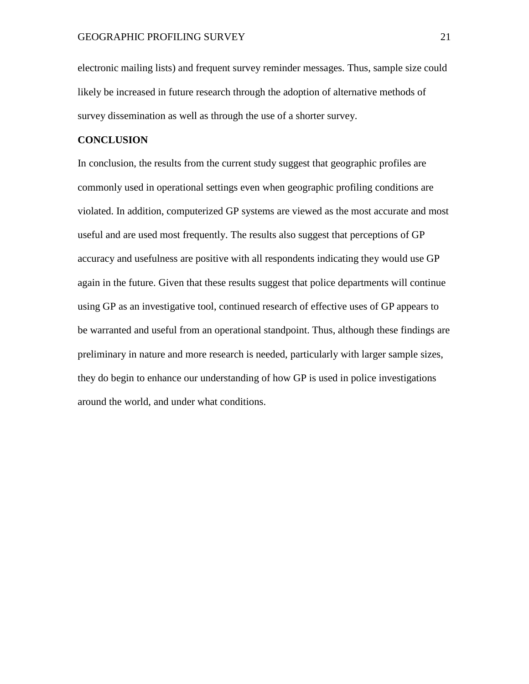electronic mailing lists) and frequent survey reminder messages. Thus, sample size could likely be increased in future research through the adoption of alternative methods of survey dissemination as well as through the use of a shorter survey.

## **CONCLUSION**

In conclusion, the results from the current study suggest that geographic profiles are commonly used in operational settings even when geographic profiling conditions are violated. In addition, computerized GP systems are viewed as the most accurate and most useful and are used most frequently. The results also suggest that perceptions of GP accuracy and usefulness are positive with all respondents indicating they would use GP again in the future. Given that these results suggest that police departments will continue using GP as an investigative tool, continued research of effective uses of GP appears to be warranted and useful from an operational standpoint. Thus, although these findings are preliminary in nature and more research is needed, particularly with larger sample sizes, they do begin to enhance our understanding of how GP is used in police investigations around the world, and under what conditions.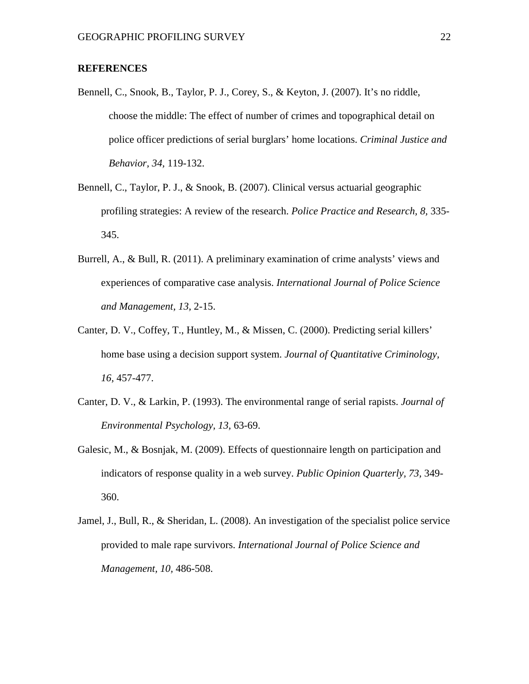### **REFERENCES**

- Bennell, C., Snook, B., Taylor, P. J., Corey, S., & Keyton, J. (2007). It's no riddle, choose the middle: The effect of number of crimes and topographical detail on police officer predictions of serial burglars' home locations. *Criminal Justice and Behavior, 34,* 119-132.
- Bennell, C., Taylor, P. J., & Snook, B. (2007). Clinical versus actuarial geographic profiling strategies: A review of the research. *Police Practice and Research, 8,* 335- 345.
- Burrell, A., & Bull, R. (2011). A preliminary examination of crime analysts' views and experiences of comparative case analysis. *International Journal of Police Science and Management, 13,* 2-15.
- Canter, D. V., Coffey, T., Huntley, M., & Missen, C. (2000). Predicting serial killers' home base using a decision support system. *Journal of Quantitative Criminology, 16,* 457-477.
- Canter, D. V., & Larkin, P. (1993). The environmental range of serial rapists. *Journal of Environmental Psychology, 13,* 63-69.
- Galesic, M., & Bosnjak, M. (2009). Effects of questionnaire length on participation and indicators of response quality in a web survey. *Public Opinion Quarterly, 73,* 349- 360.
- Jamel, J., Bull, R., & Sheridan, L. (2008). An investigation of the specialist police service provided to male rape survivors. *International Journal of Police Science and Management, 10,* 486-508.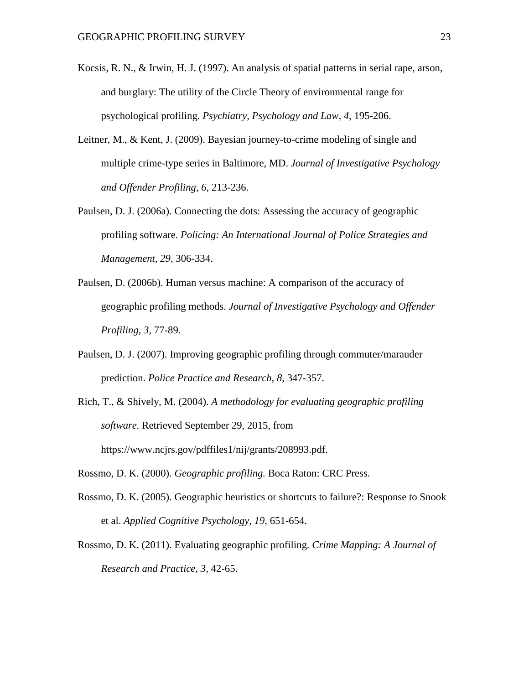- Kocsis, R. N., & Irwin, H. J. (1997). An analysis of spatial patterns in serial rape, arson, and burglary: The utility of the Circle Theory of environmental range for psychological profiling. *Psychiatry, Psychology and Law, 4,* 195-206.
- Leitner, M., & Kent, J. (2009). Bayesian journey-to-crime modeling of single and multiple crime-type series in Baltimore, MD. *Journal of Investigative Psychology and Offender Profiling, 6,* 213-236.
- Paulsen, D. J. (2006a). Connecting the dots: Assessing the accuracy of geographic profiling software. *Policing: An International Journal of Police Strategies and Management, 29,* 306-334.
- Paulsen, D. (2006b). Human versus machine: A comparison of the accuracy of geographic profiling methods. *Journal of Investigative Psychology and Offender Profiling, 3,* 77-89.
- Paulsen, D. J. (2007). Improving geographic profiling through commuter/marauder prediction. *Police Practice and Research, 8,* 347-357.
- Rich, T., & Shively, M. (2004). *A methodology for evaluating geographic profiling software.* Retrieved September 29, 2015, from https://www.ncjrs.gov/pdffiles1/nij/grants/208993.pdf.
- Rossmo, D. K. (2000). *Geographic profiling.* Boca Raton: CRC Press.
- Rossmo, D. K. (2005). Geographic heuristics or shortcuts to failure?: Response to Snook et al. *Applied Cognitive Psychology, 19,* 651-654.
- Rossmo, D. K. (2011). Evaluating geographic profiling. *Crime Mapping: A Journal of Research and Practice, 3,* 42-65.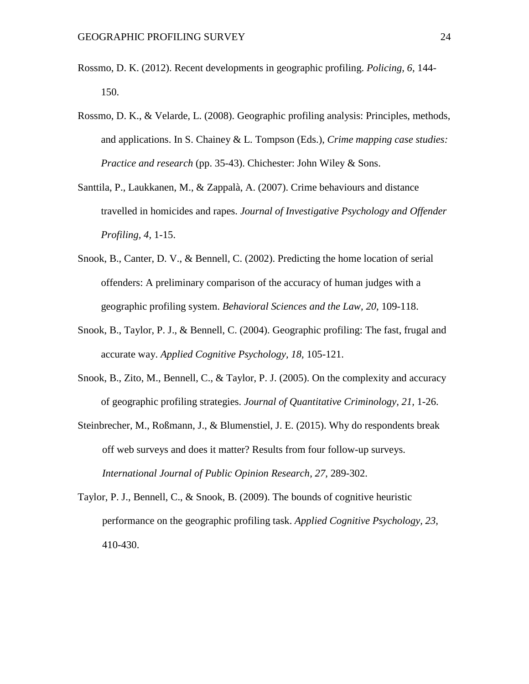- Rossmo, D. K. (2012). Recent developments in geographic profiling. *Policing, 6,* 144- 150.
- Rossmo, D. K., & Velarde, L. (2008). Geographic profiling analysis: Principles, methods, and applications. In S. Chainey & L. Tompson (Eds.), *Crime mapping case studies: Practice and research* (pp. 35-43). Chichester: John Wiley & Sons.
- Santtila, P., Laukkanen, M., & Zappalà, A. (2007). Crime behaviours and distance travelled in homicides and rapes. *Journal of Investigative Psychology and Offender Profiling, 4,* 1-15.
- Snook, B., Canter, D. V., & Bennell, C. (2002). Predicting the home location of serial offenders: A preliminary comparison of the accuracy of human judges with a geographic profiling system. *Behavioral Sciences and the Law, 20,* 109-118.
- Snook, B., Taylor, P. J., & Bennell, C. (2004). Geographic profiling: The fast, frugal and accurate way. *Applied Cognitive Psychology, 18,* 105-121.
- Snook, B., Zito, M., Bennell, C., & Taylor, P. J. (2005). On the complexity and accuracy of geographic profiling strategies. *Journal of Quantitative Criminology, 21,* 1-26.
- Steinbrecher, M., Roßmann, J., & Blumenstiel, J. E. (2015). Why do respondents break off web surveys and does it matter? Results from four follow-up surveys. *International Journal of Public Opinion Research, 27,* 289-302.
- Taylor, P. J., Bennell, C., & Snook, B. (2009). The bounds of cognitive heuristic performance on the geographic profiling task. *Applied Cognitive Psychology, 23,* 410-430.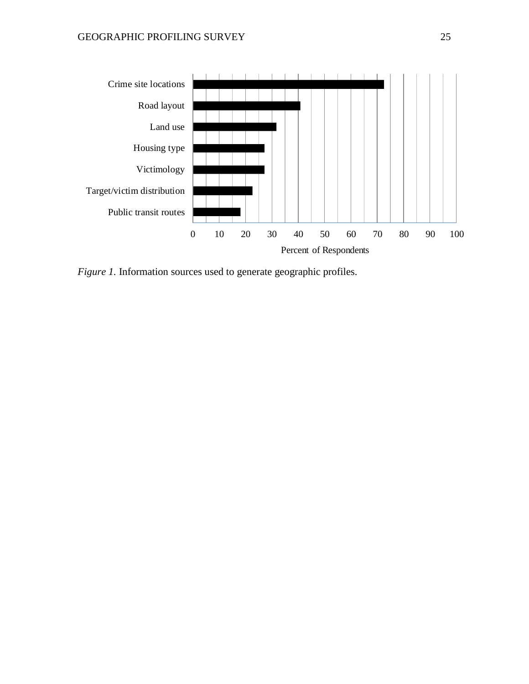

*Figure 1.* Information sources used to generate geographic profiles.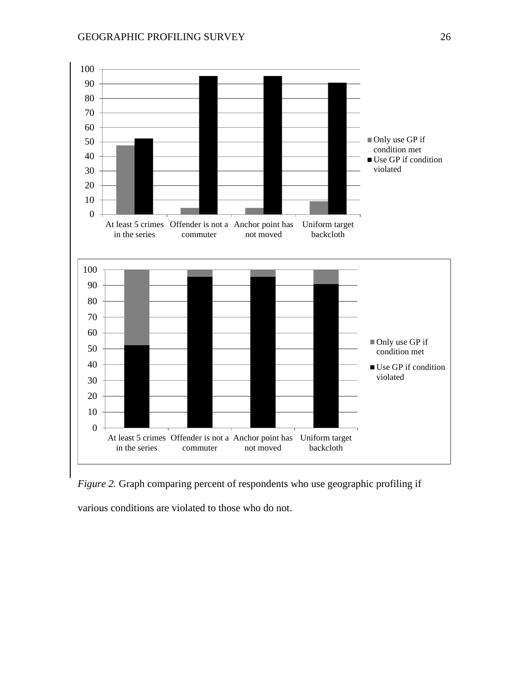

*Figure 2.* Graph comparing percent of respondents who use geographic profiling if

various conditions are violated to those who do not.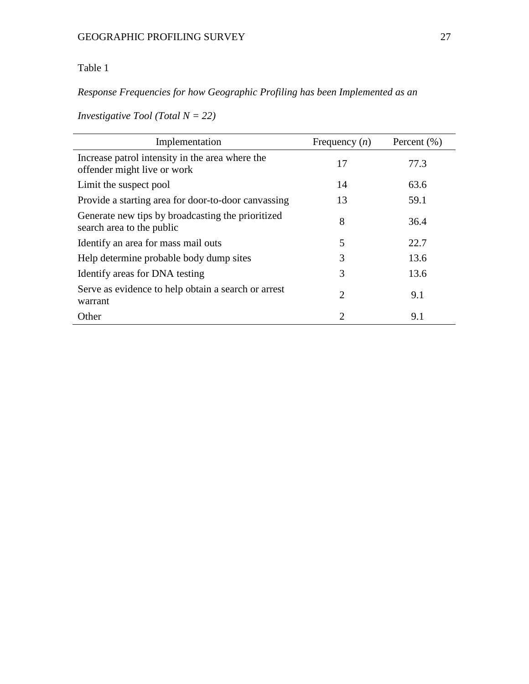## Table 1

# *Response Frequencies for how Geographic Profiling has been Implemented as an*

*Investigative Tool (Total N = 22)*

| Implementation                                                                 | Frequency $(n)$ | Percent $(\% )$ |
|--------------------------------------------------------------------------------|-----------------|-----------------|
| Increase patrol intensity in the area where the<br>offender might live or work | 17              | 77.3            |
| Limit the suspect pool                                                         | 14              | 63.6            |
| Provide a starting area for door-to-door canvassing                            | 13              | 59.1            |
| Generate new tips by broadcasting the prioritized<br>search area to the public | 8               | 36.4            |
| Identify an area for mass mail outs                                            | 5               | 22.7            |
| Help determine probable body dump sites                                        | 3               | 13.6            |
| Identify areas for DNA testing                                                 | 3               | 13.6            |
| Serve as evidence to help obtain a search or arrest<br>warrant                 | $\overline{2}$  | 9.1             |
| Other                                                                          | 2               | 9.1             |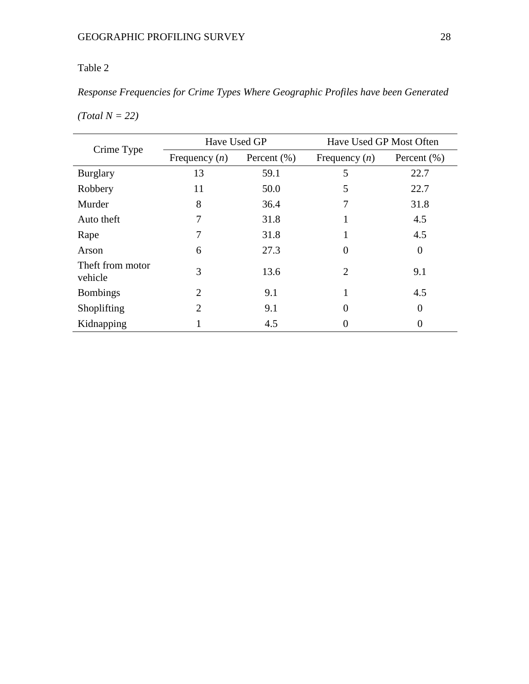# Table 2

# *Response Frequencies for Crime Types Where Geographic Profiles have been Generated*

| Crime Type                  | Have Used GP    |                 | Have Used GP Most Often     |                 |
|-----------------------------|-----------------|-----------------|-----------------------------|-----------------|
|                             | Frequency $(n)$ | Percent $(\% )$ | Frequency $(n)$             | Percent $(\% )$ |
| <b>Burglary</b>             | 13              | 59.1            | 5                           | 22.7            |
| Robbery                     | 11              | 50.0            | 5                           | 22.7            |
| Murder                      | 8               | 36.4            | 7                           | 31.8            |
| Auto theft                  | 7               | 31.8            | 1                           | 4.5             |
| Rape                        | 7               | 31.8            | 1                           | 4.5             |
| Arson                       | 6               | 27.3            | $\Omega$                    | $\overline{0}$  |
| Theft from motor<br>vehicle | 3               | 13.6            | $\mathcal{D}_{\mathcal{L}}$ | 9.1             |
| <b>Bombings</b>             | 2               | 9.1             | 1                           | 4.5             |
| Shoplifting                 | $\overline{2}$  | 9.1             | $\Omega$                    | 0               |
| Kidnapping                  |                 | 4.5             |                             | 0               |

*(Total N = 22)*